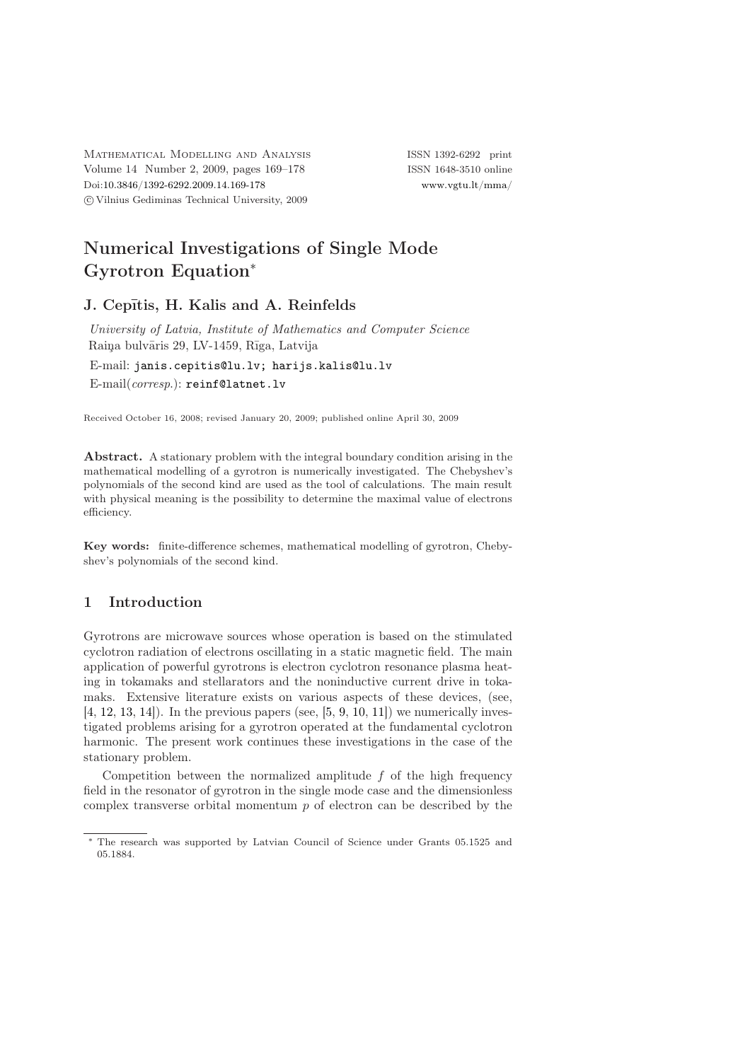Mathematical Modelling and Analysis ISSN 1392-6292 print Volume 14 Number 2, 2009, pages 169–178 ISSN 1648-3510 online Doi[:10.3846/1392-6292.2009.14.169-178](http://dx.doi.org/10.3846/1392-6292.2009.14.169-178) [www.vgtu.lt/mma/](http://www.vgtu.lt/mma/) c Vilnius Gediminas Technical University, 2009

# Numerical Investigations of Single Mode Gyrotron Equation<sup>∗</sup>

# J. Cepītis, H. Kalis and A. Reinfelds

University of Latvia, Institute of Mathematics and Computer Science Raiņa bulvāris 29, LV-1459, Rīga, Latvija

E-mail: [janis.cepitis@lu.lv; harijs.kalis@lu.lv](mailto:janis.cepitis@lu.lv; harijs.kalis@lu.lv) E-mail(corresp.): [reinf@latnet.lv](mailto:reinf@latnet.lv)

Received October 16, 2008; revised January 20, 2009; published online April 30, 2009

Abstract. A stationary problem with the integral boundary condition arising in the mathematical modelling of a gyrotron is numerically investigated. The Chebyshev's polynomials of the second kind are used as the tool of calculations. The main result with physical meaning is the possibility to determine the maximal value of electrons efficiency.

Key words: finite-difference schemes, mathematical modelling of gyrotron, Chebyshev's polynomials of the second kind.

## 1 Introduction

Gyrotrons are microwave sources whose operation is based on the stimulated cyclotron radiation of electrons oscillating in a static magnetic field. The main application of powerful gyrotrons is electron cyclotron resonance plasma heating in tokamaks and stellarators and the noninductive current drive in tokamaks. Extensive literature exists on various aspects of these devices, (see,  $[4, 12, 13, 14]$  $[4, 12, 13, 14]$  $[4, 12, 13, 14]$  $[4, 12, 13, 14]$  $[4, 12, 13, 14]$  $[4, 12, 13, 14]$  $[4, 12, 13, 14]$ ). In the previous papers (see,  $[5, 9, 10, 11]$  $[5, 9, 10, 11]$  $[5, 9, 10, 11]$  $[5, 9, 10, 11]$  $[5, 9, 10, 11]$  $[5, 9, 10, 11]$ ) we numerically investigated problems arising for a gyrotron operated at the fundamental cyclotron harmonic. The present work continues these investigations in the case of the stationary problem.

Competition between the normalized amplitude  $f$  of the high frequency field in the resonator of gyrotron in the single mode case and the dimensionless complex transverse orbital momentum  $p$  of electron can be described by the

<sup>∗</sup> The research was supported by Latvian Council of Science under Grants 05.1525 and 05.1884.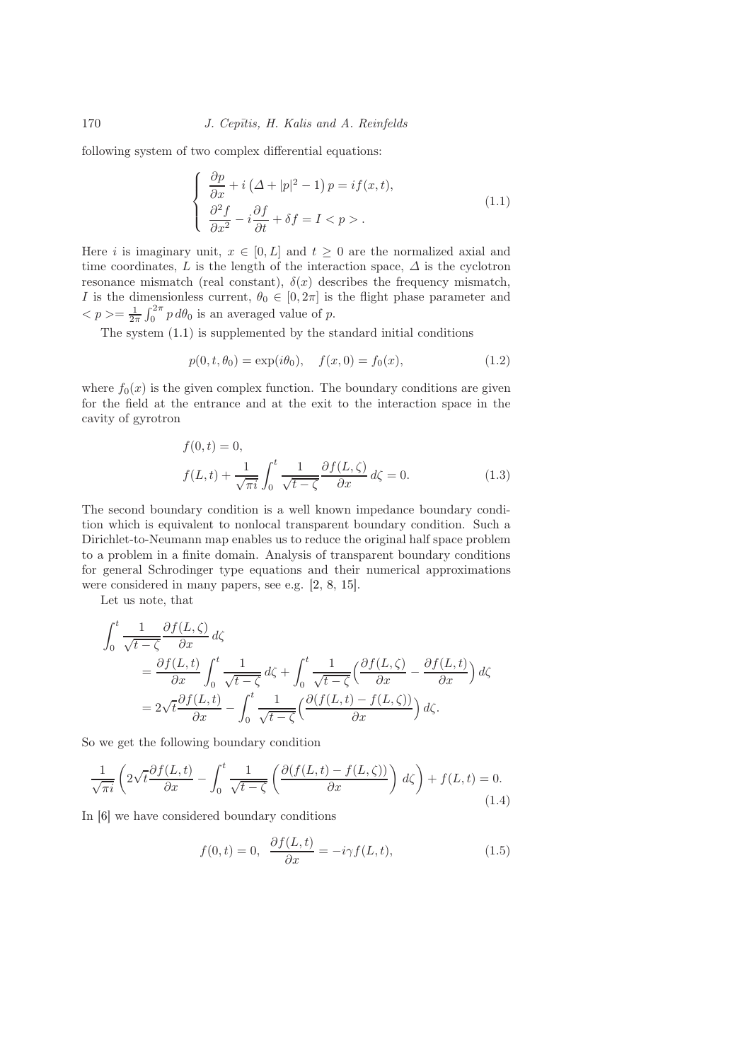following system of two complex differential equations:

<span id="page-1-0"></span>
$$
\begin{cases} \frac{\partial p}{\partial x} + i \left( \Delta + |p|^2 - 1 \right) p = if(x, t), \\ \frac{\partial^2 f}{\partial x^2} - i \frac{\partial f}{\partial t} + \delta f = I < p > . \end{cases} \tag{1.1}
$$

Here i is imaginary unit,  $x \in [0, L]$  and  $t \geq 0$  are the normalized axial and time coordinates, L is the length of the interaction space,  $\Delta$  is the cyclotron resonance mismatch (real constant),  $\delta(x)$  describes the frequency mismatch, I is the dimensionless current,  $\theta_0 \in [0, 2\pi]$  is the flight phase parameter and  $\langle p \rangle = \frac{1}{2\pi} \int_0^{2\pi} p \, d\theta_0$  is an averaged value of p.

The system [\(1.1\)](#page-1-0) is supplemented by the standard initial conditions

<span id="page-1-3"></span>
$$
p(0, t, \theta_0) = \exp(i\theta_0), \quad f(x, 0) = f_0(x), \tag{1.2}
$$

where  $f_0(x)$  is the given complex function. The boundary conditions are given for the field at the entrance and at the exit to the interaction space in the cavity of gyrotron

<span id="page-1-2"></span>
$$
f(0,t) = 0,
$$
  

$$
f(L,t) + \frac{1}{\sqrt{\pi i}} \int_0^t \frac{1}{\sqrt{t-\zeta}} \frac{\partial f(L,\zeta)}{\partial x} d\zeta = 0.
$$
 (1.3)

The second boundary condition is a well known impedance boundary condition which is equivalent to nonlocal transparent boundary condition. Such a Dirichlet-to-Neumann map enables us to reduce the original half space problem to a problem in a finite domain. Analysis of transparent boundary conditions for general Schrodinger type equations and their numerical approximations were considered in many papers, see e.g. [\[2,](#page-8-2) [8,](#page-9-6) [15\]](#page-9-7).

Let us note, that

$$
\int_0^t \frac{1}{\sqrt{t-\zeta}} \frac{\partial f(L,\zeta)}{\partial x} d\zeta
$$
\n
$$
= \frac{\partial f(L,t)}{\partial x} \int_0^t \frac{1}{\sqrt{t-\zeta}} d\zeta + \int_0^t \frac{1}{\sqrt{t-\zeta}} \left(\frac{\partial f(L,\zeta)}{\partial x} - \frac{\partial f(L,t)}{\partial x}\right) d\zeta
$$
\n
$$
= 2\sqrt{t} \frac{\partial f(L,t)}{\partial x} - \int_0^t \frac{1}{\sqrt{t-\zeta}} \left(\frac{\partial (f(L,t) - f(L,\zeta))}{\partial x}\right) d\zeta.
$$

So we get the following boundary condition

$$
\frac{1}{\sqrt{\pi i}} \left( 2\sqrt{t} \frac{\partial f(L, t)}{\partial x} - \int_0^t \frac{1}{\sqrt{t - \zeta}} \left( \frac{\partial (f(L, t) - f(L, \zeta))}{\partial x} \right) d\zeta \right) + f(L, t) = 0.
$$
\n(1.4)

In [\[6\]](#page-8-3) we have considered boundary conditions

<span id="page-1-4"></span><span id="page-1-1"></span>
$$
f(0,t) = 0, \quad \frac{\partial f(L,t)}{\partial x} = -i\gamma f(L,t), \tag{1.5}
$$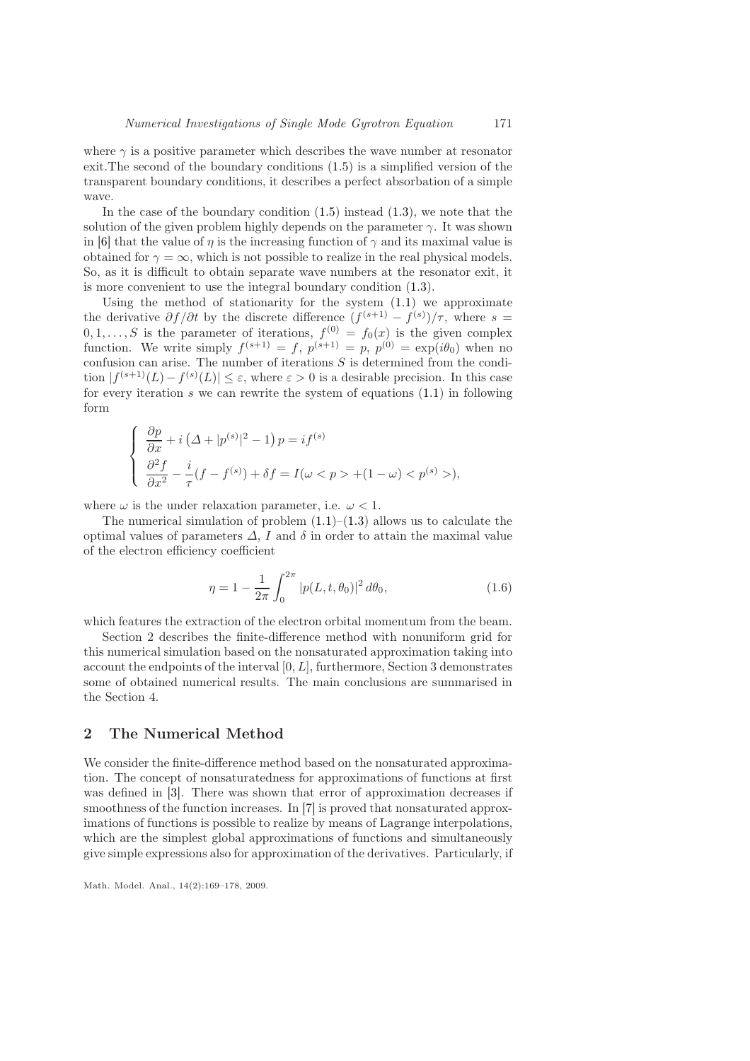where  $\gamma$  is a positive parameter which describes the wave number at resonator exit.The second of the boundary conditions [\(1.5\)](#page-1-1) is a simplified version of the transparent boundary conditions, it describes a perfect absorbation of a simple wave.

In the case of the boundary condition  $(1.5)$  instead  $(1.3)$ , we note that the solution of the given problem highly depends on the parameter  $\gamma$ . It was shown in [\[6\]](#page-8-3) that the value of  $\eta$  is the increasing function of  $\gamma$  and its maximal value is obtained for  $\gamma = \infty$ , which is not possible to realize in the real physical models. So, as it is difficult to obtain separate wave numbers at the resonator exit, it is more convenient to use the integral boundary condition [\(1.3\)](#page-1-2).

Using the method of stationarity for the system [\(1.1\)](#page-1-0) we approximate the derivative  $\partial f / \partial t$  by the discrete difference  $(f^{(s+1)} - f^{(s)}) / \tau$ , where  $s =$  $0, 1, \ldots, S$  is the parameter of iterations,  $f^{(0)} = f_0(x)$  is the given complex function. We write simply  $f^{(s+1)} = f$ ,  $p^{(s+1)} = p$ ,  $p^{(0)} = \exp(i\theta_0)$  when no confusion can arise. The number of iterations  $S$  is determined from the condition  $|f^{(s+1)}(L) - f^{(s)}(L)| \leq \varepsilon$ , where  $\varepsilon > 0$  is a desirable precision. In this case for every iteration  $s$  we can rewrite the system of equations  $(1.1)$  in following form

$$
\begin{cases} \frac{\partial p}{\partial x} + i \left( \Delta + |p^{(s)}|^2 - 1 \right) p = if^{(s)} \\ \frac{\partial^2 f}{\partial x^2} - \frac{i}{\tau} (f - f^{(s)}) + \delta f = I(\omega < p > + (1 - \omega) < p^{(s)} >), \end{cases}
$$

where  $\omega$  is the under relaxation parameter, i.e.  $\omega < 1$ .

The numerical simulation of problem  $(1.1)$ – $(1.3)$  allows us to calculate the optimal values of parameters  $\Delta$ , I and  $\delta$  in order to attain the maximal value of the electron efficiency coefficient

<span id="page-2-0"></span>
$$
\eta = 1 - \frac{1}{2\pi} \int_0^{2\pi} |p(L, t, \theta_0)|^2 d\theta_0,
$$
\n(1.6)

which features the extraction of the electron orbital momentum from the beam.

Section 2 describes the finite-difference method with nonuniform grid for this numerical simulation based on the nonsaturated approximation taking into account the endpoints of the interval  $[0, L]$ , furthermore, Section 3 demonstrates some of obtained numerical results. The main conclusions are summarised in the Section 4.

#### 2 The Numerical Method

We consider the finite-difference method based on the nonsaturated approximation. The concept of nonsaturatedness for approximations of functions at first was defined in [\[3\]](#page-8-4). There was shown that error of approximation decreases if smoothness of the function increases. In [\[7\]](#page-9-8) is proved that nonsaturated approximations of functions is possible to realize by means of Lagrange interpolations, which are the simplest global approximations of functions and simultaneously give simple expressions also for approximation of the derivatives. Particularly, if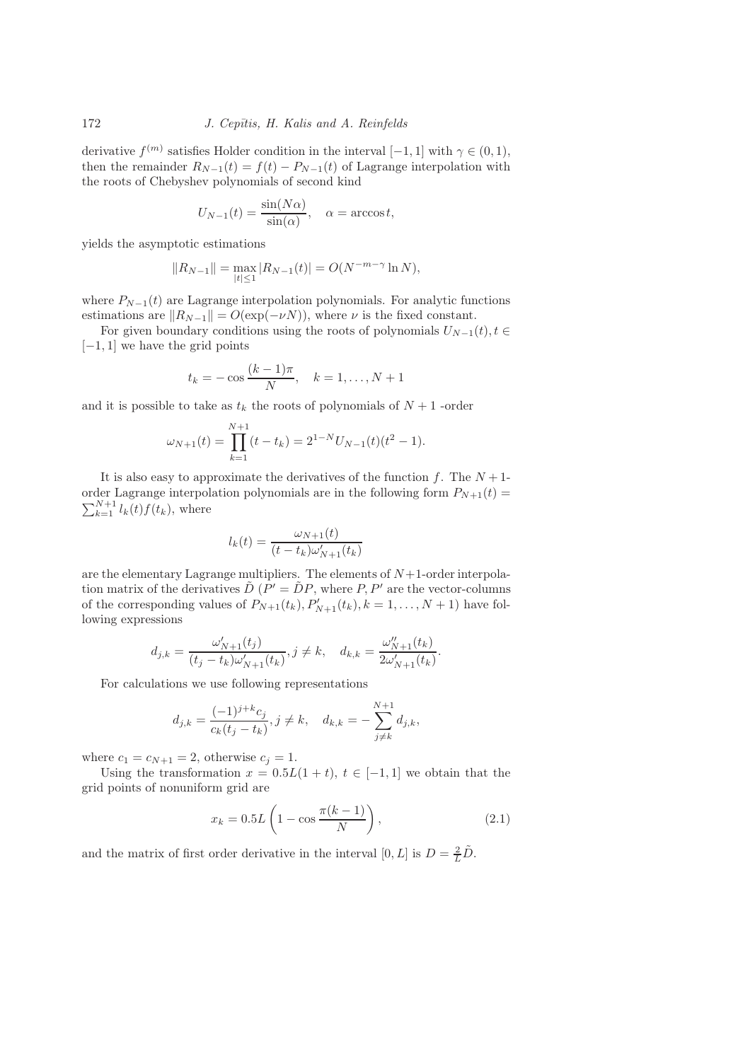derivative  $f^{(m)}$  satisfies Holder condition in the interval  $[-1, 1]$  with  $\gamma \in (0, 1)$ , then the remainder  $R_{N-1}(t) = f(t) - P_{N-1}(t)$  of Lagrange interpolation with the roots of Chebyshev polynomials of second kind

$$
U_{N-1}(t) = \frac{\sin(N\alpha)}{\sin(\alpha)}, \quad \alpha = \arccos t,
$$

yields the asymptotic estimations

$$
||R_{N-1}|| = \max_{|t| \le 1} |R_{N-1}(t)| = O(N^{-m-\gamma} \ln N),
$$

where  $P_{N-1}(t)$  are Lagrange interpolation polynomials. For analytic functions estimations are  $||R_{N-1}|| = O(\exp(-\nu N))$ , where  $\nu$  is the fixed constant.

For given boundary conditions using the roots of polynomials  $U_{N-1}(t)$ ,  $t \in$  $[-1, 1]$  we have the grid points

$$
t_k = -\cos\frac{(k-1)\pi}{N}, \quad k = 1, ..., N+1
$$

and it is possible to take as  $t_k$  the roots of polynomials of  $N+1$  -order

$$
\omega_{N+1}(t) = \prod_{k=1}^{N+1} (t - t_k) = 2^{1-N} U_{N-1}(t) (t^2 - 1).
$$

It is also easy to approximate the derivatives of the function f. The  $N+1$ order Lagrange interpolation polynomials are in the following form  $P_{N+1}(t)$  =  $\sum_{k=1}^{N+1} l_k(t) f(t_k)$ , where

$$
l_k(t) = \frac{\omega_{N+1}(t)}{(t - t_k)\omega'_{N+1}(t_k)}
$$

are the elementary Lagrange multipliers. The elements of  $N+1$ -order interpolation matrix of the derivatives  $\tilde{D}$  ( $P' = \tilde{D}P$ , where  $P, P'$  are the vector-columns of the corresponding values of  $P_{N+1}(t_k), P'_{N+1}(t_k), k = 1, ..., N+1$  have following expressions

$$
d_{j,k} = \frac{\omega'_{N+1}(t_j)}{(t_j - t_k)\omega'_{N+1}(t_k)}, j \neq k, \quad d_{k,k} = \frac{\omega''_{N+1}(t_k)}{2\omega'_{N+1}(t_k)}.
$$

For calculations we use following representations

$$
d_{j,k} = \frac{(-1)^{j+k}c_j}{c_k(t_j - t_k)}, j \neq k, \quad d_{k,k} = -\sum_{j \neq k}^{N+1} d_{j,k},
$$

where  $c_1 = c_{N+1} = 2$ , otherwise  $c_j = 1$ .

Using the transformation  $x = 0.5L(1 + t)$ ,  $t \in [-1, 1]$  we obtain that the grid points of nonuniform grid are

<span id="page-3-0"></span>
$$
x_k = 0.5L\left(1 - \cos\frac{\pi(k-1)}{N}\right),\tag{2.1}
$$

and the matrix of first order derivative in the interval  $[0, L]$  is  $D = \frac{2}{L}\tilde{D}$ .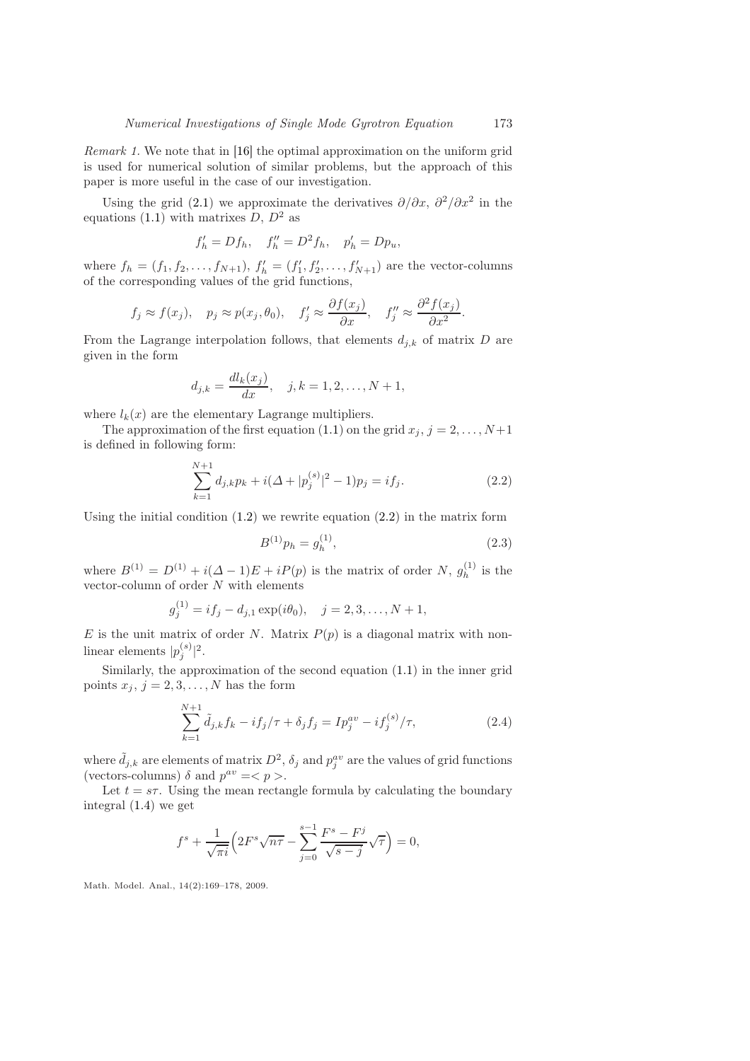Remark 1. We note that in [\[16\]](#page-9-9) the optimal approximation on the uniform grid is used for numerical solution of similar problems, but the approach of this paper is more useful in the case of our investigation.

Using the grid [\(2.1\)](#page-3-0) we approximate the derivatives  $\partial/\partial x$ ,  $\partial^2/\partial x^2$  in the equations [\(1.1\)](#page-1-0) with matrixes  $D, D^2$  as

$$
f'_{h} = Df_{h}, \quad f''_{h} = D^{2}f_{h}, \quad p'_{h} = Dp_{u},
$$

where  $f_h = (f_1, f_2, \ldots, f_{N+1}), f'_h = (f'_1, f'_2, \ldots, f'_{N+1})$  are the vector-columns of the corresponding values of the grid functions,

$$
f_j \approx f(x_j), \quad p_j \approx p(x_j, \theta_0), \quad f'_j \approx \frac{\partial f(x_j)}{\partial x}, \quad f''_j \approx \frac{\partial^2 f(x_j)}{\partial x^2}.
$$

From the Lagrange interpolation follows, that elements  $d_{j,k}$  of matrix D are given in the form

$$
d_{j,k} = \frac{dl_k(x_j)}{dx}
$$
,  $j, k = 1, 2, ..., N + 1$ ,

where  $l_k(x)$  are the elementary Lagrange multipliers.

The approximation of the first equation [\(1.1\)](#page-1-0) on the grid  $x_j$ ,  $j = 2, \ldots, N+1$ is defined in following form:

<span id="page-4-0"></span>
$$
\sum_{k=1}^{N+1} d_{j,k} p_k + i(\Delta + |p_j^{(s)}|^2 - 1)p_j = if_j.
$$
\n(2.2)

Using the initial condition  $(1.2)$  we rewrite equation  $(2.2)$  in the matrix form

<span id="page-4-2"></span>
$$
B^{(1)}p_h = g_h^{(1)},\tag{2.3}
$$

where  $B^{(1)} = D^{(1)} + i(\Delta - 1)E + iP(p)$  is the matrix of order N,  $g_h^{(1)}$  $h^{(1)}$  is the vector-column of order  $N$  with elements

$$
g_j^{(1)} = if_j - d_{j,1} \exp(i\theta_0), \quad j = 2, 3, ..., N + 1,
$$

E is the unit matrix of order N. Matrix  $P(p)$  is a diagonal matrix with nonlinear elements  $|p_j^{(s)}|^2$ .

Similarly, the approximation of the second equation [\(1.1\)](#page-1-0) in the inner grid points  $x_j$ ,  $j = 2, 3, \ldots, N$  has the form

<span id="page-4-1"></span>
$$
\sum_{k=1}^{N+1} \tilde{d}_{j,k} f_k - i f_j / \tau + \delta_j f_j = I p_j^{av} - i f_j^{(s)} / \tau,
$$
\n(2.4)

where  $\tilde{d}_{j,k}$  are elements of matrix  $D^2$ ,  $\delta_j$  and  $p_j^{av}$  are the values of grid functions (vectors-columns)  $\delta$  and  $p^{av} = \langle p \rangle$ .

Let  $t = s\tau$ . Using the mean rectangle formula by calculating the boundary integral [\(1.4\)](#page-1-4) we get

$$
f^{s} + \frac{1}{\sqrt{\pi i}} \left( 2F^{s} \sqrt{n\tau} - \sum_{j=0}^{s-1} \frac{F^{s} - F^{j}}{\sqrt{s-j}} \sqrt{\tau} \right) = 0,
$$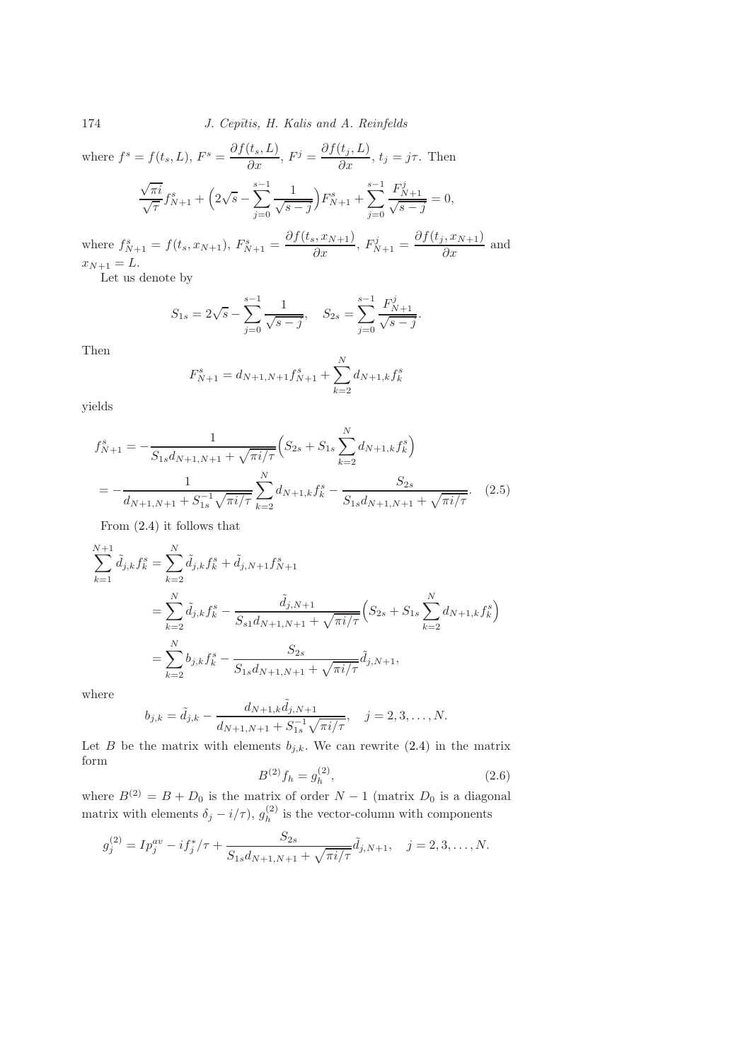174 *J. Cepītis, H. Kalis and A. Reinfelds* 

where  $f^s = f(t_s, L)$ ,  $F^s = \frac{\partial f(t_s, L)}{\partial x}$ ,  $F^j = \frac{\partial f(t_j, L)}{\partial x}$ ,  $t_j = j\tau$ . Then  $\sqrt{\pi i}$  $\frac{\sqrt{\pi i}}{\sqrt{\tau}} f_{N+1}^s + \left(2\sqrt{s} - \sum_{i=0}^{s-1} \right)$  $j=0$ 1  $\sqrt{s-j}$  $F_{N+1}^{s} + \sum_{ }^{s-1}$  $j=0$  $\frac{F_{N+1}^{j}}{\sqrt{s-j}} = 0,$ 

where  $f_{N+1}^s = f(t_s, x_{N+1}), F_{N+1}^s = \frac{\partial f(t_s, x_{N+1})}{\partial x}, F_{N+1}^j = \frac{\partial f(t_j, x_{N+1})}{\partial x}$  and  $x_{N+1} = L.$ 

Let us denote by

$$
S_{1s} = 2\sqrt{s} - \sum_{j=0}^{s-1} \frac{1}{\sqrt{s-j}}, \quad S_{2s} = \sum_{j=0}^{s-1} \frac{F_{N+1}^j}{\sqrt{s-j}}.
$$

Then

$$
F_{N+1}^s = d_{N+1,N+1} f_{N+1}^s + \sum_{k=2}^N d_{N+1,k} f_k^s
$$

yields

$$
f_{N+1}^s = -\frac{1}{S_{1s}d_{N+1,N+1} + \sqrt{\pi i/\tau}} \Big( S_{2s} + S_{1s} \sum_{k=2}^N d_{N+1,k} f_k^s \Big)
$$
  
= 
$$
-\frac{1}{d_{N+1,N+1} + S_{1s}^{-1} \sqrt{\pi i/\tau}} \sum_{k=2}^N d_{N+1,k} f_k^s - \frac{S_{2s}}{S_{1s}d_{N+1,N+1} + \sqrt{\pi i/\tau}}.
$$
 (2.5)

From [\(2.4\)](#page-4-1) it follows that

<span id="page-5-1"></span>F

$$
\sum_{k=1}^{N+1} \tilde{d}_{j,k} f_k^s = \sum_{k=2}^N \tilde{d}_{j,k} f_k^s + \tilde{d}_{j,N+1} f_{N+1}^s
$$
  
= 
$$
\sum_{k=2}^N \tilde{d}_{j,k} f_k^s - \frac{\tilde{d}_{j,N+1}}{S_{s1} d_{N+1,N+1} + \sqrt{\pi i/\tau}} \left( S_{2s} + S_{1s} \sum_{k=2}^N d_{N+1,k} f_k^s \right)
$$
  
= 
$$
\sum_{k=2}^N b_{j,k} f_k^s - \frac{S_{2s}}{S_{1s} d_{N+1,N+1} + \sqrt{\pi i/\tau}} \tilde{d}_{j,N+1},
$$

where

$$
b_{j,k} = \tilde{d}_{j,k} - \frac{d_{N+1,k}\tilde{d}_{j,N+1}}{d_{N+1,N+1} + S_{1s}^{-1}\sqrt{\pi i/\tau}}, \quad j = 2,3,\ldots,N.
$$

<span id="page-5-0"></span>Let B be the matrix with elements  $b_{j,k}$ . We can rewrite [\(2.4\)](#page-4-1) in the matrix form

$$
B^{(2)}f_h = g_h^{(2)},\tag{2.6}
$$

where  $B^{(2)} = B + D_0$  is the matrix of order  $N - 1$  (matrix  $D_0$  is a diagonal matrix with elements  $\delta_j - i/\tau$ ,  $g_h^{(2)}$  $h_h^{(2)}$  is the vector-column with components

$$
g_j^{(2)} = I p_j^{av} - i f_j^* / \tau + \frac{S_{2s}}{S_{1s} d_{N+1, N+1} + \sqrt{\pi i / \tau}} \tilde{d}_{j, N+1}, \quad j = 2, 3, \dots, N.
$$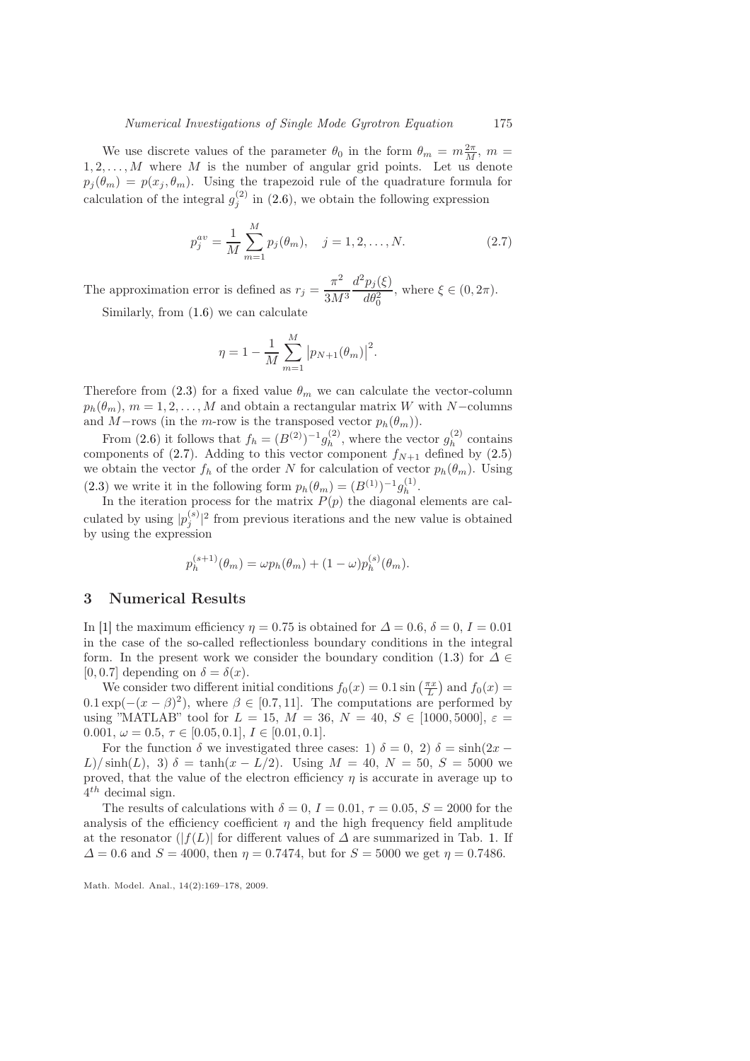We use discrete values of the parameter  $\theta_0$  in the form  $\theta_m = m \frac{2\pi}{M}$ ,  $m =$  $1, 2, \ldots, M$  where M is the number of angular grid points. Let us denote  $p_j(\theta_m) = p(x_j, \theta_m)$ . Using the trapezoid rule of the quadrature formula for calculation of the integral  $g_j^{(2)}$  in [\(2.6\)](#page-5-0), we obtain the following expression

<span id="page-6-0"></span>
$$
p_j^{av} = \frac{1}{M} \sum_{m=1}^{M} p_j(\theta_m), \quad j = 1, 2, \dots, N.
$$
 (2.7)

The approximation error is defined as  $r_j = \frac{\pi^2}{2M}$  $3M<sup>3</sup>$  $d^2p_j(\xi)$  $\frac{P_j(s)}{d\theta_0^2}$ , where  $\xi \in (0, 2\pi)$ .

Similarly, from [\(1.6\)](#page-2-0) we can calculate

$$
\eta = 1 - \frac{1}{M} \sum_{m=1}^{M} |p_{N+1}(\theta_m)|^2.
$$

Therefore from [\(2.3\)](#page-4-2) for a fixed value  $\theta_m$  we can calculate the vector-column  $p_h(\theta_m)$ ,  $m = 1, 2, ..., M$  and obtain a rectangular matrix W with N-columns and M−rows (in the m-row is the transposed vector  $p_h(\theta_m)$ ).

From [\(2.6\)](#page-5-0) it follows that  $f_h = (B^{(2)})^{-1} g_h^{(2)}$  $\binom{2}{h}$ , where the vector  $g_h^{(2)}$  $h^{(2)}$  contains components of [\(2.7\)](#page-6-0). Adding to this vector component  $f_{N+1}$  defined by [\(2.5\)](#page-5-1) we obtain the vector  $f_h$  of the order N for calculation of vector  $p_h(\theta_m)$ . Using [\(2.3\)](#page-4-2) we write it in the following form  $p_h(\theta_m) = (B^{(1)})^{-1} g_h^{(1)}$  $h^{(1)}$ .

In the iteration process for the matrix  $P(p)$  the diagonal elements are calculated by using  $|p_j^{(s)}|^2$  from previous iterations and the new value is obtained by using the expression

$$
p_h^{(s+1)}(\theta_m) = \omega p_h(\theta_m) + (1 - \omega) p_h^{(s)}(\theta_m).
$$

### 3 Numerical Results

In [\[1\]](#page-8-5) the maximum efficiency  $\eta = 0.75$  is obtained for  $\Delta = 0.6$ ,  $\delta = 0$ ,  $I = 0.01$ in the case of the so-called reflectionless boundary conditions in the integral form. In the present work we consider the boundary condition [\(1.3\)](#page-1-2) for  $\Delta \in$ [0, 0.7] depending on  $\delta = \delta(x)$ .

We consider two different initial conditions  $f_0(x) = 0.1 \sin\left(\frac{\pi x}{L}\right)$  and  $f_0(x) =$  $0.1 \exp(-(x - \beta)^2)$ , where  $\beta \in [0.7, 11]$ . The computations are performed by using "MATLAB" tool for  $L = 15$ ,  $M = 36$ ,  $N = 40$ ,  $S \in [1000, 5000]$ ,  $\varepsilon =$ 0.001,  $\omega = 0.5, \tau \in [0.05, 0.1], I \in [0.01, 0.1].$ 

For the function  $\delta$  we investigated three cases: 1)  $\delta = 0$ , 2)  $\delta = \sinh(2x -$ L)/ sinh(L), 3)  $\delta = \tanh(x - L/2)$ . Using  $M = 40$ ,  $N = 50$ ,  $S = 5000$  we proved, that the value of the electron efficiency  $\eta$  is accurate in average up to  $4^{th}$  decimal sign.

The results of calculations with  $\delta = 0$ ,  $I = 0.01$ ,  $\tau = 0.05$ ,  $S = 2000$  for the analysis of the efficiency coefficient  $\eta$  and the high frequency field amplitude at the resonator ( $|f(L)|$  for different values of  $\Delta$  are summarized in Tab. [1.](#page-7-0) If  $\Delta = 0.6$  and  $S = 4000$ , then  $\eta = 0.7474$ , but for  $S = 5000$  we get  $\eta = 0.7486$ .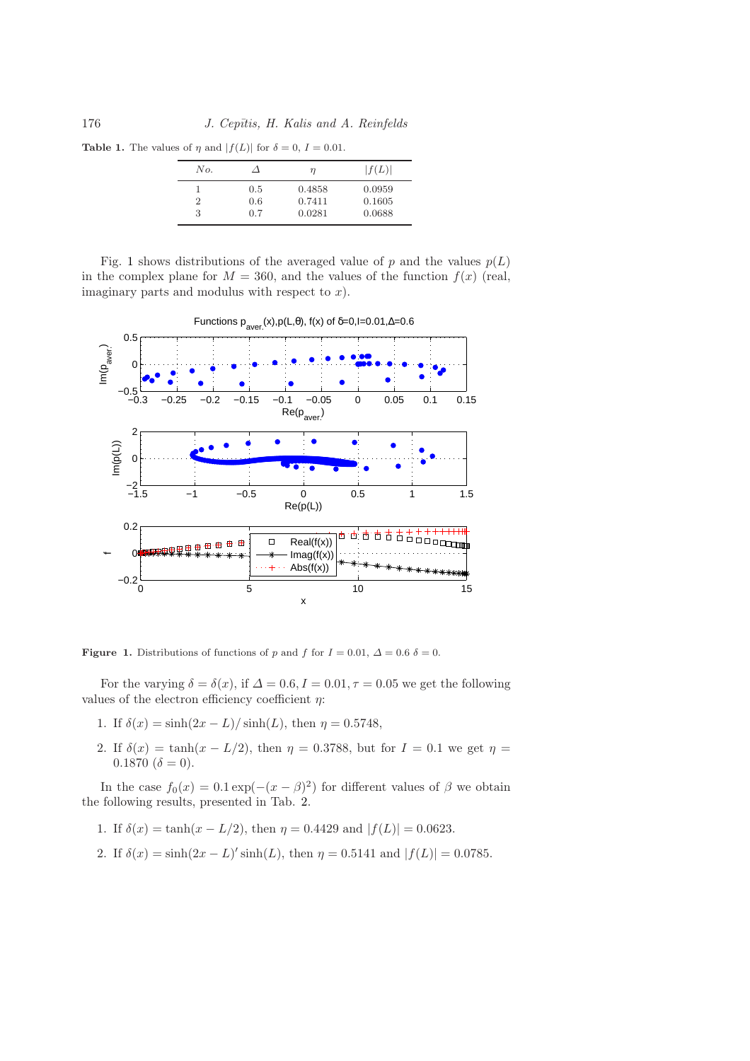**Table 1.** The values of  $\eta$  and  $|f(L)|$  for  $\delta = 0$ ,  $I = 0.01$ .

<span id="page-7-0"></span>

| No.     |                   | η                          | f(L)                       |
|---------|-------------------|----------------------------|----------------------------|
| '2<br>3 | 0.5<br>0.6<br>0.7 | 0.4858<br>0.7411<br>0.0281 | 0.0959<br>0.1605<br>0.0688 |

Fig. [1](#page-7-1) shows distributions of the averaged value of p and the values  $p(L)$ in the complex plane for  $M = 360$ , and the values of the function  $f(x)$  (real, imaginary parts and modulus with respect to  $x$ ).



<span id="page-7-1"></span>Figure 1. Distributions of functions of p and f for  $I = 0.01$ ,  $\Delta = 0.6$   $\delta = 0$ .

For the varying  $\delta = \delta(x)$ , if  $\Delta = 0.6$ ,  $I = 0.01$ ,  $\tau = 0.05$  we get the following values of the electron efficiency coefficient  $\eta$ :

- 1. If  $\delta(x) = \sinh(2x L)/\sinh(L)$ , then  $\eta = 0.5748$ ,
- 2. If  $\delta(x) = \tanh(x L/2)$ , then  $\eta = 0.3788$ , but for  $I = 0.1$  we get  $\eta =$  $0.1870~(\delta = 0).$

In the case  $f_0(x) = 0.1 \exp(-(x - \beta)^2)$  for different values of  $\beta$  we obtain the following results, presented in Tab. [2.](#page-8-6)

- 1. If  $\delta(x) = \tanh(x L/2)$ , then  $\eta = 0.4429$  and  $|f(L)| = 0.0623$ .
- 2. If  $\delta(x) = \sinh(2x L)' \sinh(L)$ , then  $\eta = 0.5141$  and  $|f(L)| = 0.0785$ .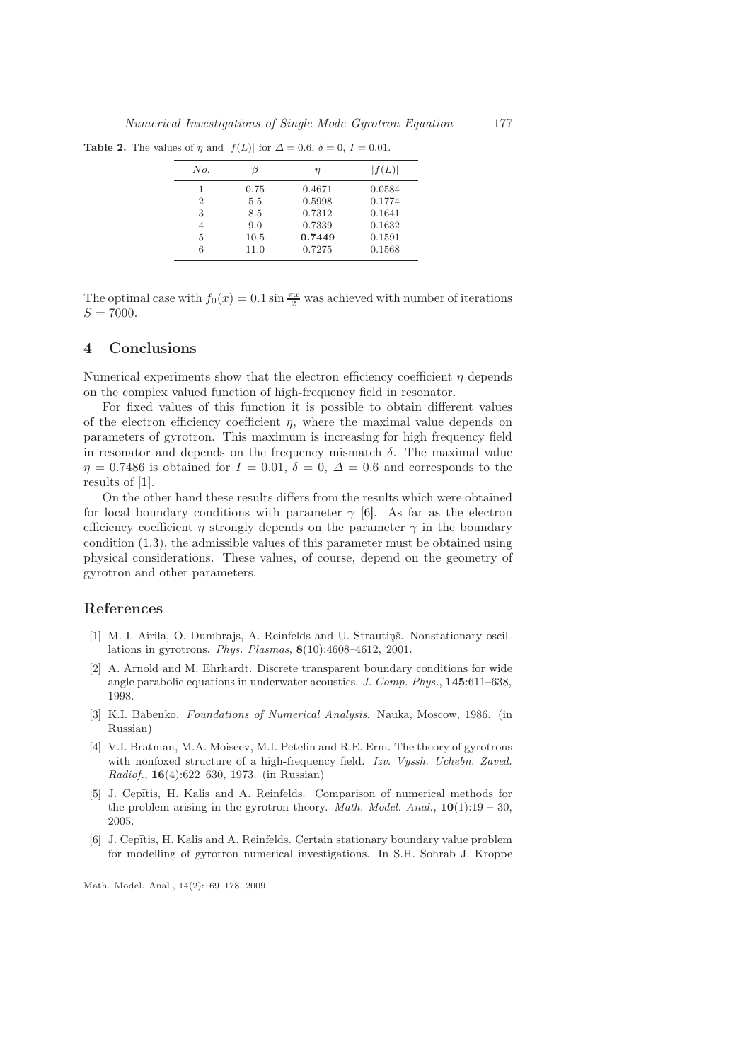Table 2. The values of  $\eta$  and  $|f(L)|$  for  $\Delta = 0.6$ ,  $\delta = 0$ ,  $I = 0.01$ .

<span id="page-8-6"></span>

| No.            |      | η      | f(L)   |
|----------------|------|--------|--------|
| 1              | 0.75 | 0.4671 | 0.0584 |
| $\overline{2}$ | 5.5  | 0.5998 | 0.1774 |
| 3              | 8.5  | 0.7312 | 0.1641 |
| 4              | 9.0  | 0.7339 | 0.1632 |
| 5              | 10.5 | 0.7449 | 0.1591 |
| 6              | 11.0 | 0.7275 | 0.1568 |
|                |      |        |        |

The optimal case with  $f_0(x) = 0.1 \sin \frac{\pi x}{2}$  was achieved with number of iterations  $S = 7000.$ 

#### 4 Conclusions

Numerical experiments show that the electron efficiency coefficient  $\eta$  depends on the complex valued function of high-frequency field in resonator.

For fixed values of this function it is possible to obtain different values of the electron efficiency coefficient  $\eta$ , where the maximal value depends on parameters of gyrotron. This maximum is increasing for high frequency field in resonator and depends on the frequency mismatch  $\delta$ . The maximal value  $\eta = 0.7486$  is obtained for  $I = 0.01$ ,  $\delta = 0$ ,  $\Delta = 0.6$  and corresponds to the results of [\[1\]](#page-8-5).

On the other hand these results differs from the results which were obtained for local boundary conditions with parameter  $\gamma$  [\[6\]](#page-8-3). As far as the electron efficiency coefficient  $\eta$  strongly depends on the parameter  $\gamma$  in the boundary condition [\(1.3\)](#page-1-2), the admissible values of this parameter must be obtained using physical considerations. These values, of course, depend on the geometry of gyrotron and other parameters.

#### <span id="page-8-5"></span>References

- [1] M. I. Airila, O. Dumbrajs, A. Reinfelds and U. Strautins. Nonstationary oscillations in gyrotrons. *Phys. Plasmas*, 8(10):4608–4612, 2001.
- <span id="page-8-2"></span>[2] A. Arnold and M. Ehrhardt. Discrete transparent boundary conditions for wide angle parabolic equations in underwater acoustics. *J. Comp. Phys.*, 145:611–638, 1998.
- <span id="page-8-4"></span>[3] K.I. Babenko. *Foundations of Numerical Analysis*. Nauka, Moscow, 1986. (in Russian)
- <span id="page-8-0"></span>[4] V.I. Bratman, M.A. Moiseev, M.I. Petelin and R.E. Erm. The theory of gyrotrons with nonfoxed structure of a high-frequency field. *Izv. Vyssh. Uchebn. Zaved. Radiof.*, 16(4):622–630, 1973. (in Russian)
- <span id="page-8-1"></span>[5] J. Cepītis, H. Kalis and A. Reinfelds. Comparison of numerical methods for the problem arising in the gyrotron theory. *Math. Model. Anal.*,  $10(1):19 - 30$ , 2005.
- <span id="page-8-3"></span>[6] J. Cepītis, H. Kalis and A. Reinfelds. Certain stationary boundary value problem for modelling of gyrotron numerical investigations. In S.H. Sohrab J. Kroppe